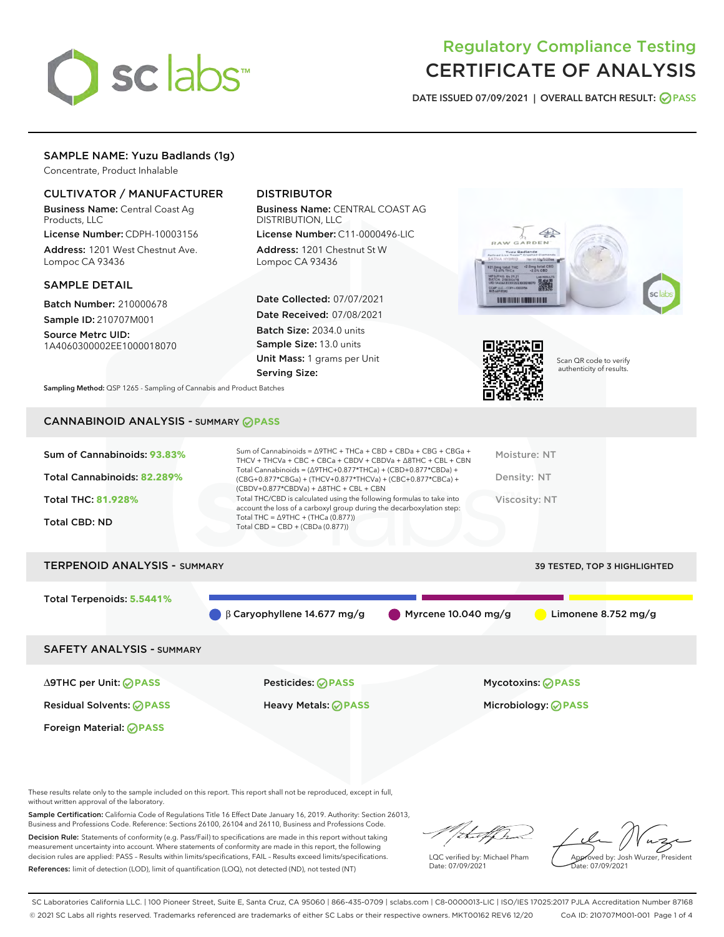

# Regulatory Compliance Testing CERTIFICATE OF ANALYSIS

DATE ISSUED 07/09/2021 | OVERALL BATCH RESULT: @ PASS

# SAMPLE NAME: Yuzu Badlands (1g)

Concentrate, Product Inhalable

# CULTIVATOR / MANUFACTURER

Business Name: Central Coast Ag Products, LLC

License Number: CDPH-10003156 Address: 1201 West Chestnut Ave. Lompoc CA 93436

## SAMPLE DETAIL

Batch Number: 210000678 Sample ID: 210707M001

Source Metrc UID: 1A4060300002EE1000018070

# DISTRIBUTOR

Business Name: CENTRAL COAST AG DISTRIBUTION, LLC

License Number: C11-0000496-LIC Address: 1201 Chestnut St W Lompoc CA 93436

Date Collected: 07/07/2021 Date Received: 07/08/2021 Batch Size: 2034.0 units Sample Size: 13.0 units Unit Mass: 1 grams per Unit Serving Size:





Scan QR code to verify authenticity of results.

Sampling Method: QSP 1265 - Sampling of Cannabis and Product Batches

# CANNABINOID ANALYSIS - SUMMARY **PASS**

# TERPENOID ANALYSIS - SUMMARY 39 TESTED, TOP 3 HIGHLIGHTED

Total Terpenoids: **5.5441%**

β Caryophyllene 14.677 mg/g Myrcene 10.040 mg/g Limonene 8.752 mg/g

SAFETY ANALYSIS - SUMMARY

∆9THC per Unit: **PASS** Pesticides: **PASS** Mycotoxins: **PASS**

Foreign Material: **PASS**

Residual Solvents: **PASS** Heavy Metals: **PASS** Microbiology: **PASS**

These results relate only to the sample included on this report. This report shall not be reproduced, except in full, without written approval of the laboratory.

Sample Certification: California Code of Regulations Title 16 Effect Date January 16, 2019. Authority: Section 26013, Business and Professions Code. Reference: Sections 26100, 26104 and 26110, Business and Professions Code. Decision Rule: Statements of conformity (e.g. Pass/Fail) to specifications are made in this report without taking

measurement uncertainty into account. Where statements of conformity are made in this report, the following decision rules are applied: PASS – Results within limits/specifications, FAIL – Results exceed limits/specifications. References: limit of detection (LOD), limit of quantification (LOQ), not detected (ND), not tested (NT)

that for

LQC verified by: Michael Pham Date: 07/09/2021

Approved by: Josh Wurzer, President ate: 07/09/2021

SC Laboratories California LLC. | 100 Pioneer Street, Suite E, Santa Cruz, CA 95060 | 866-435-0709 | sclabs.com | C8-0000013-LIC | ISO/IES 17025:2017 PJLA Accreditation Number 87168 © 2021 SC Labs all rights reserved. Trademarks referenced are trademarks of either SC Labs or their respective owners. MKT00162 REV6 12/20 CoA ID: 210707M001-001 Page 1 of 4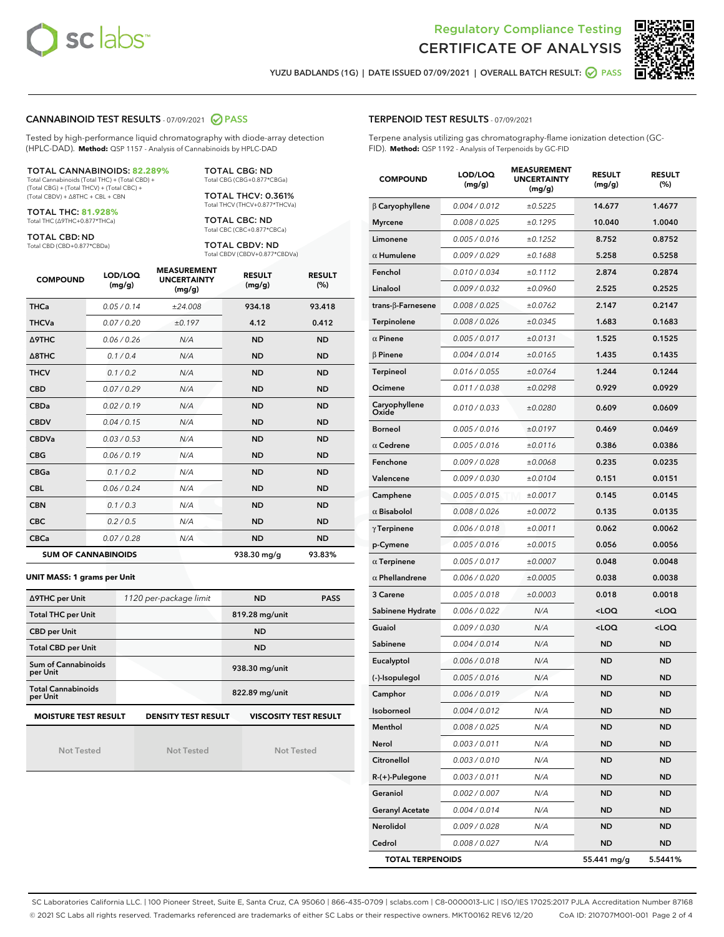



YUZU BADLANDS (1G) | DATE ISSUED 07/09/2021 | OVERALL BATCH RESULT: ◯ PASS

## CANNABINOID TEST RESULTS - 07/09/2021 2 PASS

Tested by high-performance liquid chromatography with diode-array detection (HPLC-DAD). **Method:** QSP 1157 - Analysis of Cannabinoids by HPLC-DAD

#### TOTAL CANNABINOIDS: **82.289%**

Total Cannabinoids (Total THC) + (Total CBD) + (Total CBG) + (Total THCV) + (Total CBC) + (Total CBDV) + ∆8THC + CBL + CBN

TOTAL THC: **81.928%** Total THC (∆9THC+0.877\*THCa)

TOTAL CBD: ND

Total CBD (CBD+0.877\*CBDa)

TOTAL CBG: ND Total CBG (CBG+0.877\*CBGa)

TOTAL THCV: 0.361% Total THCV (THCV+0.877\*THCVa)

TOTAL CBC: ND Total CBC (CBC+0.877\*CBCa)

TOTAL CBDV: ND Total CBDV (CBDV+0.877\*CBDVa)

| <b>COMPOUND</b>  | LOD/LOQ<br>(mg/g)          | <b>MEASUREMENT</b><br><b>UNCERTAINTY</b><br>(mg/g) | <b>RESULT</b><br>(mg/g) | <b>RESULT</b><br>(%) |
|------------------|----------------------------|----------------------------------------------------|-------------------------|----------------------|
| <b>THCa</b>      | 0.05/0.14                  | ±24.008                                            | 934.18                  | 93.418               |
| <b>THCVa</b>     | 0.07/0.20                  | ±0.197                                             | 4.12                    | 0.412                |
| <b>A9THC</b>     | 0.06 / 0.26                | N/A                                                | <b>ND</b>               | <b>ND</b>            |
| $\triangle$ 8THC | 0.1/0.4                    | N/A                                                | <b>ND</b>               | <b>ND</b>            |
| <b>THCV</b>      | 0.1 / 0.2                  | N/A                                                | <b>ND</b>               | <b>ND</b>            |
| <b>CBD</b>       | 0.07/0.29                  | N/A                                                | <b>ND</b>               | <b>ND</b>            |
| <b>CBDa</b>      | 0.02/0.19                  | N/A                                                | <b>ND</b>               | <b>ND</b>            |
| <b>CBDV</b>      | 0.04/0.15                  | N/A                                                | <b>ND</b>               | <b>ND</b>            |
| <b>CBDVa</b>     | 0.03 / 0.53                | N/A                                                | <b>ND</b>               | <b>ND</b>            |
| <b>CBG</b>       | 0.06/0.19                  | N/A                                                | <b>ND</b>               | <b>ND</b>            |
| <b>CBGa</b>      | 0.1/0.2                    | N/A                                                | <b>ND</b>               | <b>ND</b>            |
| <b>CBL</b>       | 0.06/0.24                  | N/A                                                | <b>ND</b>               | <b>ND</b>            |
| <b>CBN</b>       | 0.1 / 0.3                  | N/A                                                | <b>ND</b>               | <b>ND</b>            |
| <b>CBC</b>       | 0.2 / 0.5                  | N/A                                                | <b>ND</b>               | <b>ND</b>            |
| <b>CBCa</b>      | 0.07/0.28                  | N/A                                                | <b>ND</b>               | <b>ND</b>            |
|                  | <b>SUM OF CANNABINOIDS</b> |                                                    | 938.30 mg/g             | 93.83%               |

#### **UNIT MASS: 1 grams per Unit**

| ∆9THC per Unit                        | 1120 per-package limit     | <b>ND</b>                    | <b>PASS</b> |
|---------------------------------------|----------------------------|------------------------------|-------------|
| <b>Total THC per Unit</b>             |                            | 819.28 mg/unit               |             |
| <b>CBD</b> per Unit                   |                            | <b>ND</b>                    |             |
| <b>Total CBD per Unit</b>             |                            | <b>ND</b>                    |             |
| Sum of Cannabinoids<br>per Unit       |                            | 938.30 mg/unit               |             |
| <b>Total Cannabinoids</b><br>per Unit |                            | 822.89 mg/unit               |             |
| <b>MOISTURE TEST RESULT</b>           | <b>DENSITY TEST RESULT</b> | <b>VISCOSITY TEST RESULT</b> |             |

Not Tested

Not Tested

Not Tested

Terpene analysis utilizing gas chromatography-flame ionization detection (GC-FID). **Method:** QSP 1192 - Analysis of Terpenoids by GC-FID

| <b>COMPOUND</b>         | LOD/LOQ<br>(mg/g) | <b>MEASUREMENT</b><br><b>UNCERTAINTY</b><br>(mg/g) | <b>RESULT</b><br>(mg/g)                         | <b>RESULT</b><br>$(\%)$ |
|-------------------------|-------------------|----------------------------------------------------|-------------------------------------------------|-------------------------|
| $\beta$ Caryophyllene   | 0.004 / 0.012     | ±0.5225                                            | 14.677                                          | 1.4677                  |
| <b>Myrcene</b>          | 0.008 / 0.025     | ±0.1295                                            | 10.040                                          | 1.0040                  |
| Limonene                | 0.005 / 0.016     | ±0.1252                                            | 8.752                                           | 0.8752                  |
| $\alpha$ Humulene       | 0.009 / 0.029     | ±0.1688                                            | 5.258                                           | 0.5258                  |
| Fenchol                 | 0.010 / 0.034     | ±0.1112                                            | 2.874                                           | 0.2874                  |
| Linalool                | 0.009 / 0.032     | ±0.0960                                            | 2.525                                           | 0.2525                  |
| trans-β-Farnesene       | 0.008 / 0.025     | ±0.0762                                            | 2.147                                           | 0.2147                  |
| <b>Terpinolene</b>      | 0.008 / 0.026     | ±0.0345                                            | 1.683                                           | 0.1683                  |
| $\alpha$ Pinene         | 0.005 / 0.017     | ±0.0131                                            | 1.525                                           | 0.1525                  |
| $\beta$ Pinene          | 0.004 / 0.014     | ±0.0165                                            | 1.435                                           | 0.1435                  |
| <b>Terpineol</b>        | 0.016 / 0.055     | ±0.0764                                            | 1.244                                           | 0.1244                  |
| Ocimene                 | 0.011 / 0.038     | ±0.0298                                            | 0.929                                           | 0.0929                  |
| Caryophyllene<br>Oxide  | 0.010 / 0.033     | ±0.0280                                            | 0.609                                           | 0.0609                  |
| <b>Borneol</b>          | 0.005 / 0.016     | ±0.0197                                            | 0.469                                           | 0.0469                  |
| $\alpha$ Cedrene        | 0.005 / 0.016     | ±0.0116                                            | 0.386                                           | 0.0386                  |
| Fenchone                | 0.009 / 0.028     | ±0.0068                                            | 0.235                                           | 0.0235                  |
| Valencene               | 0.009 / 0.030     | ±0.0104                                            | 0.151                                           | 0.0151                  |
| Camphene                | 0.005 / 0.015     | ±0.0017                                            | 0.145                                           | 0.0145                  |
| $\alpha$ Bisabolol      | 0.008 / 0.026     | ±0.0072                                            | 0.135                                           | 0.0135                  |
| $\gamma$ Terpinene      | 0.006 / 0.018     | ±0.0011                                            | 0.062                                           | 0.0062                  |
| p-Cymene                | 0.005 / 0.016     | ±0.0015                                            | 0.056                                           | 0.0056                  |
| $\alpha$ Terpinene      | 0.005 / 0.017     | ±0.0007                                            | 0.048                                           | 0.0048                  |
| $\alpha$ Phellandrene   | 0.006 / 0.020     | ±0.0005                                            | 0.038                                           | 0.0038                  |
| 3 Carene                | 0.005 / 0.018     | ±0.0003                                            | 0.018                                           | 0.0018                  |
| Sabinene Hydrate        | 0.006 / 0.022     | N/A                                                | <loq< th=""><th><loq< th=""></loq<></th></loq<> | <loq< th=""></loq<>     |
| Guaiol                  | 0.009 / 0.030     | N/A                                                | <loq< th=""><th><loq< th=""></loq<></th></loq<> | <loq< th=""></loq<>     |
| Sabinene                | 0.004 / 0.014     | N/A                                                | <b>ND</b>                                       | <b>ND</b>               |
| Eucalyptol              | 0.006 / 0.018     | N/A                                                | ND                                              | <b>ND</b>               |
| (-)-Isopulegol          | 0.005 / 0.016     | N/A                                                | <b>ND</b>                                       | <b>ND</b>               |
| Camphor                 | 0.006 / 0.019     | N/A                                                | <b>ND</b>                                       | <b>ND</b>               |
| Isoborneol              | 0.004 / 0.012     | N/A                                                | ND                                              | ND                      |
| Menthol                 | 0.008 / 0.025     | N/A                                                | ND                                              | ND                      |
| Nerol                   | 0.003 / 0.011     | N/A                                                | ND                                              | ND                      |
| Citronellol             | 0.003 / 0.010     | N/A                                                | ND                                              | ND                      |
| R-(+)-Pulegone          | 0.003 / 0.011     | N/A                                                | ND                                              | ND                      |
| Geraniol                | 0.002 / 0.007     | N/A                                                | ND                                              | ND                      |
| <b>Geranyl Acetate</b>  | 0.004 / 0.014     | N/A                                                | ND                                              | ND                      |
| Nerolidol               | 0.009 / 0.028     | N/A                                                | ND                                              | ND                      |
| Cedrol                  | 0.008 / 0.027     | N/A                                                | ND                                              | <b>ND</b>               |
| <b>TOTAL TERPENOIDS</b> |                   |                                                    | 55.441 mg/g                                     | 5.5441%                 |

SC Laboratories California LLC. | 100 Pioneer Street, Suite E, Santa Cruz, CA 95060 | 866-435-0709 | sclabs.com | C8-0000013-LIC | ISO/IES 17025:2017 PJLA Accreditation Number 87168 © 2021 SC Labs all rights reserved. Trademarks referenced are trademarks of either SC Labs or their respective owners. MKT00162 REV6 12/20 CoA ID: 210707M001-001 Page 2 of 4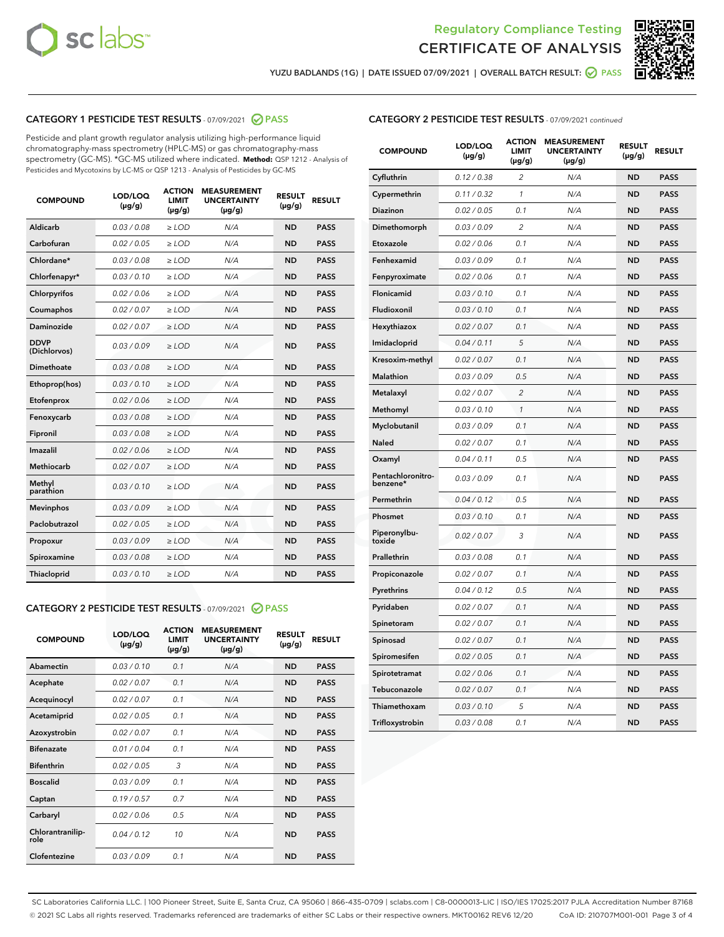



YUZU BADLANDS (1G) | DATE ISSUED 07/09/2021 | OVERALL BATCH RESULT:  $\bigcirc$  PASS

# CATEGORY 1 PESTICIDE TEST RESULTS - 07/09/2021 2 PASS

Pesticide and plant growth regulator analysis utilizing high-performance liquid chromatography-mass spectrometry (HPLC-MS) or gas chromatography-mass spectrometry (GC-MS). \*GC-MS utilized where indicated. **Method:** QSP 1212 - Analysis of Pesticides and Mycotoxins by LC-MS or QSP 1213 - Analysis of Pesticides by GC-MS

| <b>COMPOUND</b>             | LOD/LOQ<br>$(\mu g/g)$ | <b>ACTION</b><br>LIMIT<br>$(\mu g/g)$ | <b>MEASUREMENT</b><br><b>UNCERTAINTY</b><br>$(\mu g/g)$ | <b>RESULT</b><br>$(\mu g/g)$ | <b>RESULT</b> |
|-----------------------------|------------------------|---------------------------------------|---------------------------------------------------------|------------------------------|---------------|
| Aldicarb                    | 0.03/0.08              | $\ge$ LOD                             | N/A                                                     | <b>ND</b>                    | <b>PASS</b>   |
| Carbofuran                  | 0.02 / 0.05            | $>$ LOD                               | N/A                                                     | <b>ND</b>                    | <b>PASS</b>   |
| Chlordane*                  | 0.03 / 0.08            | $\ge$ LOD                             | N/A                                                     | <b>ND</b>                    | <b>PASS</b>   |
| Chlorfenapyr*               | 0.03/0.10              | $\ge$ LOD                             | N/A                                                     | <b>ND</b>                    | <b>PASS</b>   |
| Chlorpyrifos                | 0.02 / 0.06            | $\ge$ LOD                             | N/A                                                     | <b>ND</b>                    | <b>PASS</b>   |
| Coumaphos                   | 0.02 / 0.07            | $\ge$ LOD                             | N/A                                                     | <b>ND</b>                    | <b>PASS</b>   |
| Daminozide                  | 0.02/0.07              | $>$ LOD                               | N/A                                                     | <b>ND</b>                    | <b>PASS</b>   |
| <b>DDVP</b><br>(Dichlorvos) | 0.03/0.09              | $\geq$ LOD                            | N/A                                                     | <b>ND</b>                    | <b>PASS</b>   |
| <b>Dimethoate</b>           | 0.03 / 0.08            | $\ge$ LOD                             | N/A                                                     | <b>ND</b>                    | <b>PASS</b>   |
| Ethoprop(hos)               | 0.03/0.10              | $\geq$ LOD                            | N/A                                                     | <b>ND</b>                    | <b>PASS</b>   |
| Etofenprox                  | 0.02/0.06              | $>$ LOD                               | N/A                                                     | <b>ND</b>                    | <b>PASS</b>   |
| Fenoxycarb                  | 0.03 / 0.08            | $\ge$ LOD                             | N/A                                                     | <b>ND</b>                    | <b>PASS</b>   |
| Fipronil                    | 0.03 / 0.08            | $\ge$ LOD                             | N/A                                                     | <b>ND</b>                    | <b>PASS</b>   |
| Imazalil                    | 0.02 / 0.06            | $\geq$ LOD                            | N/A                                                     | <b>ND</b>                    | <b>PASS</b>   |
| Methiocarb                  | 0.02 / 0.07            | $\ge$ LOD                             | N/A                                                     | <b>ND</b>                    | <b>PASS</b>   |
| Methyl<br>parathion         | 0.03/0.10              | $\geq$ LOD                            | N/A                                                     | <b>ND</b>                    | <b>PASS</b>   |
| <b>Mevinphos</b>            | 0.03/0.09              | $>$ LOD                               | N/A                                                     | <b>ND</b>                    | <b>PASS</b>   |
| Paclobutrazol               | 0.02 / 0.05            | $\ge$ LOD                             | N/A                                                     | <b>ND</b>                    | <b>PASS</b>   |
| Propoxur                    | 0.03/0.09              | $\ge$ LOD                             | N/A                                                     | <b>ND</b>                    | <b>PASS</b>   |
| Spiroxamine                 | 0.03 / 0.08            | $\ge$ LOD                             | N/A                                                     | <b>ND</b>                    | <b>PASS</b>   |
| Thiacloprid                 | 0.03/0.10              | $\geq$ LOD                            | N/A                                                     | <b>ND</b>                    | <b>PASS</b>   |
|                             |                        |                                       |                                                         |                              |               |

## CATEGORY 2 PESTICIDE TEST RESULTS - 07/09/2021 @ PASS

| <b>COMPOUND</b>          | LOD/LOO<br>$(\mu g/g)$ | <b>ACTION</b><br>LIMIT<br>$(\mu g/g)$ | <b>MEASUREMENT</b><br><b>UNCERTAINTY</b><br>$(\mu g/g)$ | <b>RESULT</b><br>$(\mu g/g)$ | <b>RESULT</b> |
|--------------------------|------------------------|---------------------------------------|---------------------------------------------------------|------------------------------|---------------|
| Abamectin                | 0.03/0.10              | 0.1                                   | N/A                                                     | <b>ND</b>                    | <b>PASS</b>   |
| Acephate                 | 0.02/0.07              | 0.1                                   | N/A                                                     | <b>ND</b>                    | <b>PASS</b>   |
| Acequinocyl              | 0.02/0.07              | 0.1                                   | N/A                                                     | <b>ND</b>                    | <b>PASS</b>   |
| Acetamiprid              | 0.02/0.05              | 0.1                                   | N/A                                                     | <b>ND</b>                    | <b>PASS</b>   |
| Azoxystrobin             | 0.02/0.07              | 0.1                                   | N/A                                                     | <b>ND</b>                    | <b>PASS</b>   |
| <b>Bifenazate</b>        | 0.01/0.04              | 0.1                                   | N/A                                                     | <b>ND</b>                    | <b>PASS</b>   |
| <b>Bifenthrin</b>        | 0.02/0.05              | 3                                     | N/A                                                     | <b>ND</b>                    | <b>PASS</b>   |
| <b>Boscalid</b>          | 0.03/0.09              | 0.1                                   | N/A                                                     | <b>ND</b>                    | <b>PASS</b>   |
| Captan                   | 0.19/0.57              | 0.7                                   | N/A                                                     | <b>ND</b>                    | <b>PASS</b>   |
| Carbaryl                 | 0.02/0.06              | 0.5                                   | N/A                                                     | <b>ND</b>                    | <b>PASS</b>   |
| Chlorantranilip-<br>role | 0.04/0.12              | 10                                    | N/A                                                     | <b>ND</b>                    | <b>PASS</b>   |
| Clofentezine             | 0.03/0.09              | 0.1                                   | N/A                                                     | <b>ND</b>                    | <b>PASS</b>   |

| <b>CATEGORY 2 PESTICIDE TEST RESULTS</b> - 07/09/2021 continued |  |
|-----------------------------------------------------------------|--|
|-----------------------------------------------------------------|--|

| <b>COMPOUND</b>               | LOD/LOQ<br>(µg/g) | <b>ACTION</b><br><b>LIMIT</b><br>(µg/g) | <b>MEASUREMENT</b><br><b>UNCERTAINTY</b><br>(µg/g) | <b>RESULT</b><br>(µg/g) | <b>RESULT</b> |
|-------------------------------|-------------------|-----------------------------------------|----------------------------------------------------|-------------------------|---------------|
| Cyfluthrin                    | 0.12 / 0.38       | $\overline{c}$                          | N/A                                                | <b>ND</b>               | <b>PASS</b>   |
| Cypermethrin                  | 0.11/0.32         | 1                                       | N/A                                                | <b>ND</b>               | <b>PASS</b>   |
| Diazinon                      | 0.02 / 0.05       | 0.1                                     | N/A                                                | <b>ND</b>               | <b>PASS</b>   |
| Dimethomorph                  | 0.03 / 0.09       | 2                                       | N/A                                                | <b>ND</b>               | <b>PASS</b>   |
| Etoxazole                     | 0.02 / 0.06       | 0.1                                     | N/A                                                | <b>ND</b>               | <b>PASS</b>   |
| Fenhexamid                    | 0.03 / 0.09       | 0.1                                     | N/A                                                | <b>ND</b>               | <b>PASS</b>   |
| Fenpyroximate                 | 0.02 / 0.06       | 0.1                                     | N/A                                                | <b>ND</b>               | <b>PASS</b>   |
| Flonicamid                    | 0.03 / 0.10       | 0.1                                     | N/A                                                | <b>ND</b>               | <b>PASS</b>   |
| Fludioxonil                   | 0.03 / 0.10       | 0.1                                     | N/A                                                | <b>ND</b>               | <b>PASS</b>   |
| Hexythiazox                   | 0.02 / 0.07       | 0.1                                     | N/A                                                | <b>ND</b>               | <b>PASS</b>   |
| Imidacloprid                  | 0.04 / 0.11       | 5                                       | N/A                                                | <b>ND</b>               | <b>PASS</b>   |
| Kresoxim-methyl               | 0.02 / 0.07       | 0.1                                     | N/A                                                | <b>ND</b>               | <b>PASS</b>   |
| Malathion                     | 0.03 / 0.09       | 0.5                                     | N/A                                                | <b>ND</b>               | <b>PASS</b>   |
| Metalaxyl                     | 0.02 / 0.07       | 2                                       | N/A                                                | <b>ND</b>               | <b>PASS</b>   |
| Methomyl                      | 0.03 / 0.10       | $\mathcal{I}$                           | N/A                                                | <b>ND</b>               | <b>PASS</b>   |
| Myclobutanil                  | 0.03 / 0.09       | 0.1                                     | N/A                                                | <b>ND</b>               | <b>PASS</b>   |
| Naled                         | 0.02 / 0.07       | 0.1                                     | N/A                                                | <b>ND</b>               | <b>PASS</b>   |
| Oxamyl                        | 0.04 / 0.11       | 0.5                                     | N/A                                                | <b>ND</b>               | <b>PASS</b>   |
| Pentachloronitro-<br>benzene* | 0.03 / 0.09       | 0.1                                     | N/A                                                | <b>ND</b>               | <b>PASS</b>   |
| Permethrin                    | 0.04/0.12         | 0.5                                     | N/A                                                | <b>ND</b>               | <b>PASS</b>   |
| Phosmet                       | 0.03 / 0.10       | 0.1                                     | N/A                                                | <b>ND</b>               | <b>PASS</b>   |
| Piperonylbu-<br>toxide        | 0.02 / 0.07       | 3                                       | N/A                                                | <b>ND</b>               | <b>PASS</b>   |
| Prallethrin                   | 0.03 / 0.08       | 0.1                                     | N/A                                                | <b>ND</b>               | <b>PASS</b>   |
| Propiconazole                 | 0.02 / 0.07       | 0.1                                     | N/A                                                | <b>ND</b>               | <b>PASS</b>   |
| Pyrethrins                    | 0.04 / 0.12       | 0.5                                     | N/A                                                | <b>ND</b>               | <b>PASS</b>   |
| Pyridaben                     | 0.02 / 0.07       | 0.1                                     | N/A                                                | <b>ND</b>               | <b>PASS</b>   |
| Spinetoram                    | 0.02 / 0.07       | 0.1                                     | N/A                                                | <b>ND</b>               | <b>PASS</b>   |
| Spinosad                      | 0.02 / 0.07       | 0.1                                     | N/A                                                | <b>ND</b>               | <b>PASS</b>   |
| Spiromesifen                  | 0.02 / 0.05       | 0.1                                     | N/A                                                | <b>ND</b>               | <b>PASS</b>   |
| Spirotetramat                 | 0.02 / 0.06       | 0.1                                     | N/A                                                | ND                      | <b>PASS</b>   |
| Tebuconazole                  | 0.02 / 0.07       | 0.1                                     | N/A                                                | <b>ND</b>               | <b>PASS</b>   |
| Thiamethoxam                  | 0.03 / 0.10       | 5                                       | N/A                                                | <b>ND</b>               | <b>PASS</b>   |
| Trifloxystrobin               | 0.03 / 0.08       | 0.1                                     | N/A                                                | <b>ND</b>               | <b>PASS</b>   |

SC Laboratories California LLC. | 100 Pioneer Street, Suite E, Santa Cruz, CA 95060 | 866-435-0709 | sclabs.com | C8-0000013-LIC | ISO/IES 17025:2017 PJLA Accreditation Number 87168 © 2021 SC Labs all rights reserved. Trademarks referenced are trademarks of either SC Labs or their respective owners. MKT00162 REV6 12/20 CoA ID: 210707M001-001 Page 3 of 4